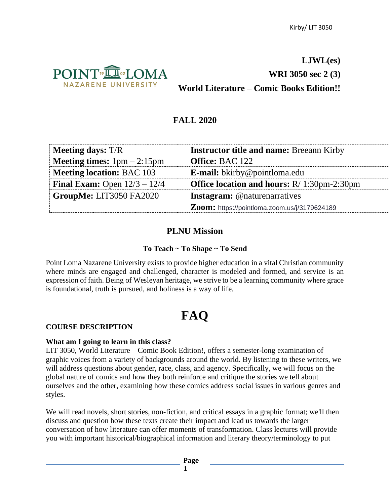

**LJWL(es) WRI 3050 sec 2 (3) World Literature – Comic Books Edition!!**

# **FALL 2020**

| <b>Meeting days:</b> T/R              | <b>Instructor title and name: Breeann Kirby</b>    |
|---------------------------------------|----------------------------------------------------|
| <b>Meeting times:</b> $1pm - 2:15pm$  | <b>Office: BAC 122</b>                             |
| <b>Meeting location: BAC 103</b>      | <b>E-mail:</b> bkirby@pointloma.edu                |
| <b>Final Exam:</b> Open $12/3 - 12/4$ | <b>Office location and hours:</b> R/ 1:30pm-2:30pm |
| GroupMe: LIT3050 FA2020               | <b>Instagram:</b> @naturenarratives                |
|                                       | Zoom: https://pointloma.zoom.us/j/3179624189       |

# **PLNU Mission**

# **To Teach ~ To Shape ~ To Send**

Point Loma Nazarene University exists to provide higher education in a vital Christian community where minds are engaged and challenged, character is modeled and formed, and service is an expression of faith. Being of Wesleyan heritage, we strive to be a learning community where grace is foundational, truth is pursued, and holiness is a way of life.

# **FAQ**

# **COURSE DESCRIPTION**

#### **What am I going to learn in this class?**

LIT 3050, World Literature—Comic Book Edition!, offers a semester-long examination of graphic voices from a variety of backgrounds around the world. By listening to these writers, we will address questions about gender, race, class, and agency. Specifically, we will focus on the global nature of comics and how they both reinforce and critique the stories we tell about ourselves and the other, examining how these comics address social issues in various genres and styles.

We will read novels, short stories, non-fiction, and critical essays in a graphic format; we'll then discuss and question how these texts create their impact and lead us towards the larger conversation of how literature can offer moments of transformation. Class lectures will provide you with important historical/biographical information and literary theory/terminology to put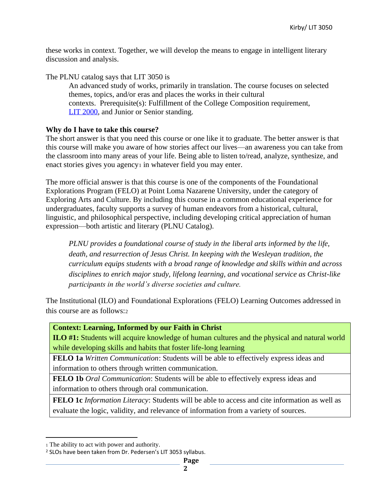these works in context. Together, we will develop the means to engage in intelligent literary discussion and analysis.

The PLNU catalog says that LIT 3050 is An advanced study of works, primarily in translation. The course focuses on selected themes, topics, and/or eras and places the works in their cultural contexts. Prerequisite(s): Fulfillment of the College Composition requirement, [LIT 2000,](https://catalog.pointloma.edu/preview_course_nopop.php?catoid=41&coid=31847) and Junior or Senior standing.

## **Why do I have to take this course?**

The short answer is that you need this course or one like it to graduate. The better answer is that this course will make you aware of how stories affect our lives—an awareness you can take from the classroom into many areas of your life. Being able to listen to/read, analyze, synthesize, and enact stories gives you agency<sub>1</sub> in whatever field you may enter.

The more official answer is that this course is one of the components of the Foundational Explorations Program (FELO) at Point Loma Nazarene University, under the category of Exploring Arts and Culture. By including this course in a common educational experience for undergraduates, faculty supports a survey of human endeavors from a historical, cultural, linguistic, and philosophical perspective, including developing critical appreciation of human expression—both artistic and literary (PLNU Catalog).

*PLNU provides a foundational course of study in the liberal arts informed by the life, death, and resurrection of Jesus Christ. In keeping with the Wesleyan tradition, the curriculum equips students with a broad range of knowledge and skills within and across disciplines to enrich major study, lifelong learning, and vocational service as Christ-like participants in the world's diverse societies and culture.* 

The Institutional (ILO) and Foundational Explorations (FELO) Learning Outcomes addressed in this course are as follows:<sup>2</sup>

**Context: Learning, Informed by our Faith in Christ**

**ILO #1:** Students will acquire knowledge of human cultures and the physical and natural world while developing skills and habits that foster life-long learning

**FELO 1a** *Written Communication*: Students will be able to effectively express ideas and information to others through written communication.

**FELO 1b** *Oral Communication*: Students will be able to effectively express ideas and information to others through oral communication.

**FELO 1c** *Information Literacy*: Students will be able to access and cite information as well as evaluate the logic, validity, and relevance of information from a variety of sources.

<sup>1</sup> The ability to act with power and authority.

<sup>2</sup> SLOs have been taken from Dr. Pedersen's LIT 3053 syllabus.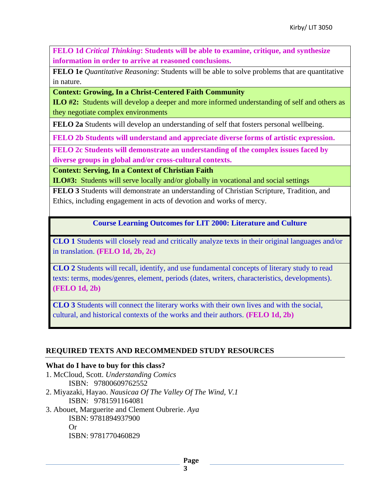**FELO 1d** *Critical Thinking***: Students will be able to examine, critique, and synthesize information in order to arrive at reasoned conclusions.**

**FELO 1e** *Quantitative Reasoning*: Students will be able to solve problems that are quantitative in nature.

**Context: Growing, In a Christ-Centered Faith Community**

**ILO #2:** Students will develop a deeper and more informed understanding of self and others as they negotiate complex environments

**FELO 2a** Students will develop an understanding of self that fosters personal wellbeing.

**FELO 2b Students will understand and appreciate diverse forms of artistic expression.** 

**FELO 2c Students will demonstrate an understanding of the complex issues faced by diverse groups in global and/or cross-cultural contexts.** 

**Context: Serving, In a Context of Christian Faith**

**ILO#3:** Students will serve locally and/or globally in vocational and social settings

**FELO 3** Students will demonstrate an understanding of Christian Scripture, Tradition, and Ethics, including engagement in acts of devotion and works of mercy.

**Course Learning Outcomes for LIT 2000: Literature and Culture**

**CLO 1** Students will closely read and critically analyze texts in their original languages and/or in translation. **(FELO 1d, 2b, 2c)**

**CLO 2** Students will recall, identify, and use fundamental concepts of literary study to read texts: terms, modes/genres, element, periods (dates, writers, characteristics, developments). **(FELO 1d, 2b)**

**CLO 3** Students will connect the literary works with their own lives and with the social, cultural, and historical contexts of the works and their authors. **(FELO 1d, 2b)**

# **REQUIRED TEXTS AND RECOMMENDED STUDY RESOURCES**

# **What do I have to buy for this class?**

- 1. McCloud, Scott. *Understanding Comics* ISBN: 97800609762552 2. Miyazaki, Hayao. *Nausicaa Of The Valley Of The Wind, V.1* ISBN: 9781591164081
- 3. Abouet, Marguerite and Clement Oubrerie. *Aya* ISBN: 9781894937900 Or ISBN: 9781770460829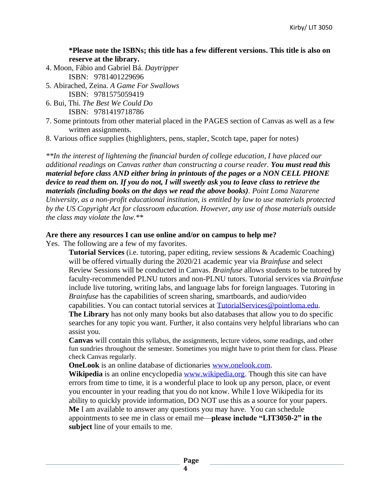**\*Please note the ISBNs; this title has a few different versions. This title is also on reserve at the library.**

- 4. Moon, Fábio and Gabriel Bá. *Daytripper* ISBN: 9781401229696
- 5. Abirached, Zeina. *A Game For Swallows* ISBN: 9781575059419
- 6. Bui, Thi. *The Best We Could Do* ISBN: 9781419718786
- 7. Some printouts from other material placed in the PAGES section of Canvas as well as a few written assignments.
- 8. Various office supplies (highlighters, pens, stapler, Scotch tape, paper for notes)

*\*\*In the interest of lightening the financial burden of college education, I have placed our additional readings on Canvas rather than constructing a course reader. You must read this material before class AND either bring in printouts of the pages or a NON CELL PHONE device to read them on. If you do not, I will sweetly ask you to leave class to retrieve the materials (including books on the days we read the above books). Point Loma Nazarene University, as a non-profit educational institution, is entitled by law to use materials protected by the US Copyright Act for classroom education. However, any use of those materials outside the class may violate the law.\*\**

#### **Are there any resources I can use online and/or on campus to help me?**

Yes. The following are a few of my favorites.

**Tutorial Services** (i.e. tutoring, paper editing, review sessions & Academic Coaching) will be offered virtually during the 2020/21 academic year via *Brainfuse* and select Review Sessions will be conducted in Canvas. *Brainfuse* allows students to be tutored by faculty-recommended PLNU tutors and non-PLNU tutors. Tutorial services via *Brainfuse* include live tutoring, writing labs, and language labs for foreign languages. Tutoring in *Brainfuse* has the capabilities of screen sharing, smartboards, and audio/video

capabilities. You can contact tutorial services at [TutorialServices@pointloma.edu.](mailto:TutorialServices@pointloma.edu)

**The Library** has not only many books but also databases that allow you to do specific searches for any topic you want. Further, it also contains very helpful librarians who can assist you.

**Canvas** will contain this syllabus, the assignments, lecture videos, some readings, and other fun sundries throughout the semester. Sometimes you might have to print them for class. Please check Canvas regularly.

**OneLook** is an online database of dictionaries [www.onelook.com.](http://www.onelook.com/)

**Wikipedia** is an online encyclopedia [www.wikipedia.org.](http://www.wikipedia.org/) Though this site can have errors from time to time, it is a wonderful place to look up any person, place, or event you encounter in your reading that you do not know. While I love Wikipedia for its ability to quickly provide information, DO NOT use this as a source for your papers. **Me** I am available to answer any questions you may have. You can schedule appointments to see me in class or email me—**please include "LIT3050-2" in the subject** line of your emails to me.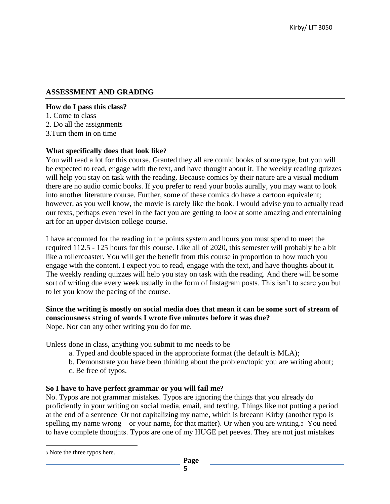## **ASSESSMENT AND GRADING**

#### **How do I pass this class?**

1. Come to class 2. Do all the assignments

3.Turn them in on time

#### **What specifically does that look like?**

You will read a lot for this course. Granted they all are comic books of some type, but you will be expected to read, engage with the text, and have thought about it. The weekly reading quizzes will help you stay on task with the reading. Because comics by their nature are a visual medium there are no audio comic books. If you prefer to read your books aurally, you may want to look into another literature course. Further, some of these comics do have a cartoon equivalent; however, as you well know, the movie is rarely like the book. I would advise you to actually read our texts, perhaps even revel in the fact you are getting to look at some amazing and entertaining art for an upper division college course.

I have accounted for the reading in the points system and hours you must spend to meet the required 112.5 - 125 hours for this course. Like all of 2020, this semester will probably be a bit like a rollercoaster. You will get the benefit from this course in proportion to how much you engage with the content. I expect you to read, engage with the text, and have thoughts about it. The weekly reading quizzes will help you stay on task with the reading. And there will be some sort of writing due every week usually in the form of Instagram posts. This isn't to scare you but to let you know the pacing of the course.

# **Since the writing is mostly on social media does that mean it can be some sort of stream of consciousness string of words I wrote five minutes before it was due?**

Nope. Nor can any other writing you do for me.

Unless done in class, anything you submit to me needs to be

- a. Typed and double spaced in the appropriate format (the default is MLA);
- b. Demonstrate you have been thinking about the problem/topic you are writing about;
- c. Be free of typos.

#### **So I have to have perfect grammar or you will fail me?**

No. Typos are not grammar mistakes. Typos are ignoring the things that you already do proficiently in your writing on social media, email, and texting. Things like not putting a period at the end of a sentence Or not capitalizing my name, which is breeann Kirby (another typo is spelling my name wrong—or your name, for that matter). Or when you are writing.3 You need to have complete thoughts. Typos are one of my HUGE pet peeves. They are not just mistakes

<sup>3</sup> Note the three typos here.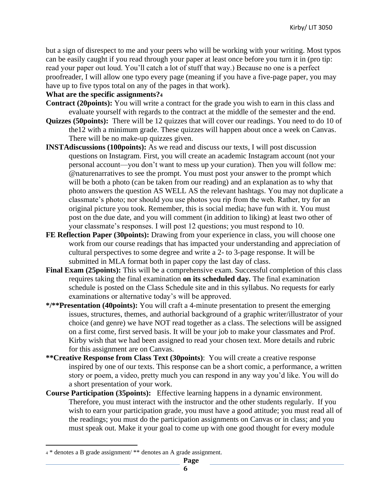but a sign of disrespect to me and your peers who will be working with your writing. Most typos can be easily caught if you read through your paper at least once before you turn it in (pro tip: read your paper out loud. You'll catch a lot of stuff that way.) Because no one is a perfect proofreader, I will allow one typo every page (meaning if you have a five-page paper, you may have up to five typos total on any of the pages in that work).

## **What are the specific assignments?<sup>4</sup>**

- **Contract (20points):** You will write a contract for the grade you wish to earn in this class and evaluate yourself with regards to the contract at the middle of the semester and the end.
- **Quizzes (50points):** There will be 12 quizzes that will cover our readings. You need to do 10 of the12 with a minimum grade. These quizzes will happen about once a week on Canvas. There will be no make-up quizzes given.
- **INSTAdiscussions (100points):** As we read and discuss our texts, I will post discussion questions on Instagram. First, you will create an academic Instagram account (not your personal account—you don't want to mess up your curation). Then you will follow me: @naturenarratives to see the prompt. You must post your answer to the prompt which will be both a photo (can be taken from our reading) and an explanation as to why that photo answers the question AS WELL AS the relevant hashtags. You may not duplicate a classmate's photo; nor should you use photos you rip from the web. Rather, try for an original picture you took. Remember, this is social media; have fun with it. You must post on the due date, and you will comment (in addition to liking) at least two other of your classmate's responses. I will post 12 questions; you must respond to 10.
- **FE Reflection Paper (30points):** Drawing from your experience in class, you will choose one work from our course readings that has impacted your understanding and appreciation of cultural perspectives to some degree and write a 2- to 3-page response. It will be submitted in MLA format both in paper copy the last day of class.
- **Final Exam (25points):** This will be a comprehensive exam. Successful completion of this class requires taking the final examination **on its scheduled day***.* The final examination schedule is posted on the Class Schedule site and in this syllabus. No requests for early examinations or alternative today's will be approved.
- **\*/\*\*Presentation (40points):** You will craft a 4-minute presentation to present the emerging issues, structures, themes, and authorial background of a graphic writer/illustrator of your choice (and genre) we have NOT read together as a class. The selections will be assigned on a first come, first served basis. It will be your job to make your classmates and Prof. Kirby wish that we had been assigned to read your chosen text. More details and rubric for this assignment are on Canvas.
- **\*\*Creative Response from Class Text (30points)**: You will create a creative response inspired by one of our texts. This response can be a short comic, a performance, a written story or poem, a video, pretty much you can respond in any way you'd like. You will do a short presentation of your work.
- **Course Participation (35points):** Effective learning happens in a dynamic environment. Therefore, you must interact with the instructor and the other students regularly. If you wish to earn your participation grade, you must have a good attitude; you must read all of the readings; you must do the participation assignments on Canvas or in class; and you must speak out. Make it your goal to come up with one good thought for every module

<sup>4</sup> \* denotes a B grade assignment/ \*\* denotes an A grade assignment.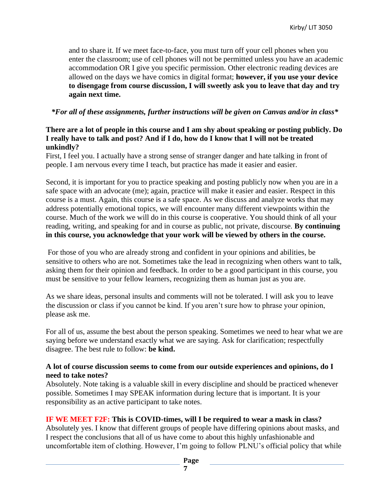and to share it. If we meet face-to-face, you must turn off your cell phones when you enter the classroom; use of cell phones will not be permitted unless you have an academic accommodation OR I give you specific permission. Other electronic reading devices are allowed on the days we have comics in digital format; **however, if you use your device to disengage from course discussion, I will sweetly ask you to leave that day and try again next time.**

*\*For all of these assignments, further instructions will be given on Canvas and/or in class\**

## **There are a lot of people in this course and I am shy about speaking or posting publicly. Do I really have to talk and post? And if I do, how do I know that I will not be treated unkindly?**

First, I feel you. I actually have a strong sense of stranger danger and hate talking in front of people. I am nervous every time I teach, but practice has made it easier and easier.

Second, it is important for you to practice speaking and posting publicly now when you are in a safe space with an advocate (me); again, practice will make it easier and easier. Respect in this course is a must. Again, this course is a safe space. As we discuss and analyze works that may address potentially emotional topics, we will encounter many different viewpoints within the course. Much of the work we will do in this course is cooperative. You should think of all your reading, writing, and speaking for and in course as public, not private, discourse. **By continuing in this course, you acknowledge that your work will be viewed by others in the course.**

For those of you who are already strong and confident in your opinions and abilities, be sensitive to others who are not. Sometimes take the lead in recognizing when others want to talk, asking them for their opinion and feedback. In order to be a good participant in this course, you must be sensitive to your fellow learners, recognizing them as human just as you are.

As we share ideas, personal insults and comments will not be tolerated. I will ask you to leave the discussion or class if you cannot be kind. If you aren't sure how to phrase your opinion, please ask me.

For all of us, assume the best about the person speaking. Sometimes we need to hear what we are saying before we understand exactly what we are saying. Ask for clarification; respectfully disagree. The best rule to follow: **be kind.**

#### **A lot of course discussion seems to come from our outside experiences and opinions, do I need to take notes?**

Absolutely. Note taking is a valuable skill in every discipline and should be practiced whenever possible. Sometimes I may SPEAK information during lecture that is important. It is your responsibility as an active participant to take notes.

# **IF WE MEET F2F: This is COVID-times, will I be required to wear a mask in class?**

Absolutely yes. I know that different groups of people have differing opinions about masks, and I respect the conclusions that all of us have come to about this highly unfashionable and uncomfortable item of clothing. However, I'm going to follow PLNU's official policy that while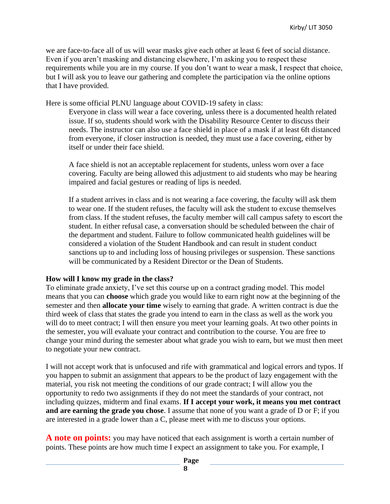we are face-to-face all of us will wear masks give each other at least 6 feet of social distance. Even if you aren't masking and distancing elsewhere, I'm asking you to respect these requirements while you are in my course. If you don't want to wear a mask, I respect that choice, but I will ask you to leave our gathering and complete the participation via the online options that I have provided.

Here is some official PLNU language about COVID-19 safety in class:

Everyone in class will wear a face covering, unless there is a documented health related issue. If so, students should work with the Disability Resource Center to discuss their needs. The instructor can also use a face shield in place of a mask if at least 6ft distanced from everyone, if closer instruction is needed, they must use a face covering, either by itself or under their face shield.

A face shield is not an acceptable replacement for students, unless worn over a face covering. Faculty are being allowed this adjustment to aid students who may be hearing impaired and facial gestures or reading of lips is needed.

If a student arrives in class and is not wearing a face covering, the faculty will ask them to wear one. If the student refuses, the faculty will ask the student to excuse themselves from class. If the student refuses, the faculty member will call campus safety to escort the student. In either refusal case, a conversation should be scheduled between the chair of the department and student. Failure to follow communicated health guidelines will be considered a violation of the Student Handbook and can result in student conduct sanctions up to and including loss of housing privileges or suspension. These sanctions will be communicated by a Resident Director or the Dean of Students.

#### **How will I know my grade in the class?**

To eliminate grade anxiety, I've set this course up on a contract grading model. This model means that you can **choose** which grade you would like to earn right now at the beginning of the semester and then **allocate your time** wisely to earning that grade. A written contract is due the third week of class that states the grade you intend to earn in the class as well as the work you will do to meet contract; I will then ensure you meet your learning goals. At two other points in the semester, you will evaluate your contract and contribution to the course. You are free to change your mind during the semester about what grade you wish to earn, but we must then meet to negotiate your new contract.

I will not accept work that is unfocused and rife with grammatical and logical errors and typos. If you happen to submit an assignment that appears to be the product of lazy engagement with the material, you risk not meeting the conditions of our grade contract; I will allow you the opportunity to redo two assignments if they do not meet the standards of your contract, not including quizzes, midterm and final exams. **If I accept your work, it means you met contract and are earning the grade you chose**. I assume that none of you want a grade of D or F; if you are interested in a grade lower than a C, please meet with me to discuss your options.

**A note on points:** you may have noticed that each assignment is worth a certain number of points. These points are how much time I expect an assignment to take you. For example, I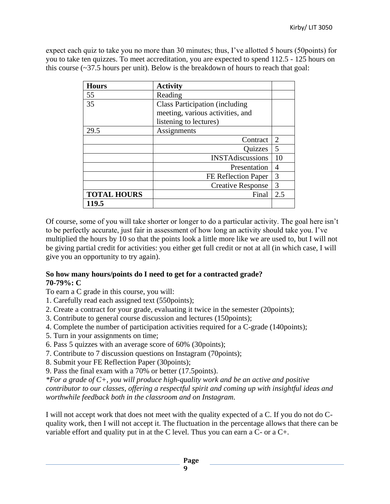expect each quiz to take you no more than 30 minutes; thus, I've allotted 5 hours (50points) for you to take ten quizzes. To meet accreditation, you are expected to spend 112.5 - 125 hours on this course  $\left(\frac{37.5}{2}\right)$  hours per unit). Below is the breakdown of hours to reach that goal:

| <b>Hours</b>       | <b>Activity</b>                        |     |
|--------------------|----------------------------------------|-----|
| 55                 | Reading                                |     |
| 35                 | <b>Class Participation (including)</b> |     |
|                    | meeting, various activities, and       |     |
|                    | listening to lectures)                 |     |
| 29.5               | Assignments                            |     |
|                    | Contract                               | 2   |
|                    | Quizzes                                | 5   |
|                    | <b>INSTAdiscussions</b>                | 10  |
|                    | Presentation                           | 4   |
|                    | FE Reflection Paper                    | 3   |
|                    | <b>Creative Response</b>               | 3   |
| <b>TOTAL HOURS</b> | Final                                  | 2.5 |
| 119.5              |                                        |     |

Of course, some of you will take shorter or longer to do a particular activity. The goal here isn't to be perfectly accurate, just fair in assessment of how long an activity should take you. I've multiplied the hours by 10 so that the points look a little more like we are used to, but I will not be giving partial credit for activities: you either get full credit or not at all (in which case, I will give you an opportunity to try again).

#### **So how many hours/points do I need to get for a contracted grade? 70-79%: C**

- To earn a C grade in this course, you will:
- 1. Carefully read each assigned text (550points);
- 2. Create a contract for your grade, evaluating it twice in the semester (20points);
- 3. Contribute to general course discussion and lectures (150points);
- 4. Complete the number of participation activities required for a C-grade (140points);
- 5. Turn in your assignments on time;
- 6. Pass 5 quizzes with an average score of 60% (30points);
- 7. Contribute to 7 discussion questions on Instagram (70points);
- 8. Submit your FE Reflection Paper (30points);
- 9. Pass the final exam with a 70% or better (17.5points).

*\*For a grade of C+, you will produce high-quality work and be an active and positive contributor to our classes, offering a respectful spirit and coming up with insightful ideas and worthwhile feedback both in the classroom and on Instagram.*

I will not accept work that does not meet with the quality expected of a C. If you do not do Cquality work, then I will not accept it. The fluctuation in the percentage allows that there can be variable effort and quality put in at the C level. Thus you can earn a C- or a C+.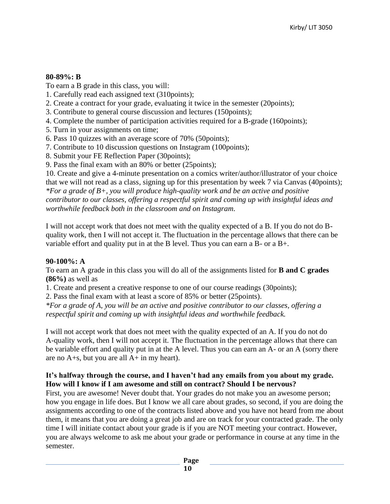## **80-89%: B**

To earn a B grade in this class, you will:

- 1. Carefully read each assigned text (310points);
- 2. Create a contract for your grade, evaluating it twice in the semester (20points);
- 3. Contribute to general course discussion and lectures (150points);
- 4. Complete the number of participation activities required for a B-grade (160points);
- 5. Turn in your assignments on time;
- 6. Pass 10 quizzes with an average score of 70% (50points);
- 7. Contribute to 10 discussion questions on Instagram (100points);
- 8. Submit your FE Reflection Paper (30points);
- 9. Pass the final exam with an 80% or better (25points);

10. Create and give a 4-minute presentation on a comics writer/author/illustrator of your choice that we will not read as a class, signing up for this presentation by week 7 via Canvas (40points); *\*For a grade of B+, you will produce high-quality work and be an active and positive contributor to our classes, offering a respectful spirit and coming up with insightful ideas and worthwhile feedback both in the classroom and on Instagram.*

I will not accept work that does not meet with the quality expected of a B. If you do not do Bquality work, then I will not accept it. The fluctuation in the percentage allows that there can be variable effort and quality put in at the B level. Thus you can earn a B- or a B+.

#### **90-100%: A**

To earn an A grade in this class you will do all of the assignments listed for **B and C grades (86%)** as well as

1. Create and present a creative response to one of our course readings (30points);

2. Pass the final exam with at least a score of 85% or better (25points).

*\*For a grade of A, you will be an active and positive contributor to our classes, offering a respectful spirit and coming up with insightful ideas and worthwhile feedback.*

I will not accept work that does not meet with the quality expected of an A. If you do not do A-quality work, then I will not accept it. The fluctuation in the percentage allows that there can be variable effort and quality put in at the A level. Thus you can earn an A- or an A (sorry there are no A+s, but you are all A+ in my heart).

#### **It's halfway through the course, and I haven't had any emails from you about my grade. How will I know if I am awesome and still on contract? Should I be nervous?**

First, you are awesome! Never doubt that. Your grades do not make you an awesome person; how you engage in life does. But I know we all care about grades, so second, if you are doing the assignments according to one of the contracts listed above and you have not heard from me about them, it means that you are doing a great job and are on track for your contracted grade. The only time I will initiate contact about your grade is if you are NOT meeting your contract. However, you are always welcome to ask me about your grade or performance in course at any time in the semester.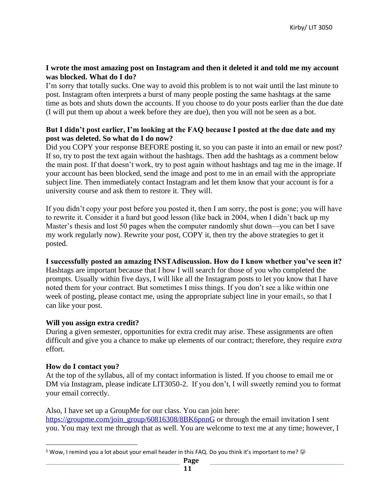#### **I wrote the most amazing post on Instagram and then it deleted it and told me my account was blocked. What do I do?**

I'm sorry that totally sucks. One way to avoid this problem is to not wait until the last minute to post. Instagram often interprets a burst of many people posting the same hashtags at the same time as bots and shuts down the accounts. If you choose to do your posts earlier than the due date (I will put them up about a week before they are due), then you will not be seen as a bot.

#### **But I didn't post earlier, I'm looking at the FAQ because I posted at the due date and my post was deleted. So what do I do now?**

Did you COPY your response BEFORE posting it, so you can paste it into an email or new post? If so, try to post the text again without the hashtags. Then add the hashtags as a comment below the main post. If that doesn't work, try to post again without hashtags and tag me in the image. If your account has been blocked, send the image and post to me in an email with the appropriate subject line. Then immediately contact Instagram and let them know that your account is for a university course and ask them to restore it. They will.

If you didn't copy your post before you posted it, then I am sorry, the post is gone; you will have to rewrite it. Consider it a hard but good lesson (like back in 2004, when I didn't back up my Master's thesis and lost 50 pages when the computer randomly shut down—you can bet I save my work regularly now). Rewrite your post, COPY it, then try the above strategies to get it posted.

#### **I successfully posted an amazing INSTAdiscussion. How do I know whether you've seen it?**

Hashtags are important because that I how I will search for those of you who completed the prompts. Usually within five days, I will like all the Instagram posts to let you know that I have noted them for your contract. But sometimes I miss things. If you don't see a like within one week of posting, please contact me, using the appropriate subject line in your emails, so that I can like your post.

#### **Will you assign extra credit?**

During a given semester, opportunities for extra credit may arise. These assignments are often difficult and give you a chance to make up elements of our contract; therefore, they require *extra*  effort.

#### **How do I contact you?**

At the top of the syllabus, all of my contact information is listed. If you choose to email me or DM via Instagram, please indicate LIT3050-2. If you don't, I will sweetly remind you to format your email correctly.

Also, I have set up a GroupMe for our class. You can join here: [https://groupme.com/join\\_group/60816308/8BK6pnnG](https://groupme.com/join_group/60816308/8BK6pnnG) or through the email invitation I sent you. You may text me through that as well. You are welcome to text me at any time; however, I

<sup>&</sup>lt;sup>5</sup> Wow, I remind you a lot about your email header in this FAQ. Do you think it's important to me?  $\odot$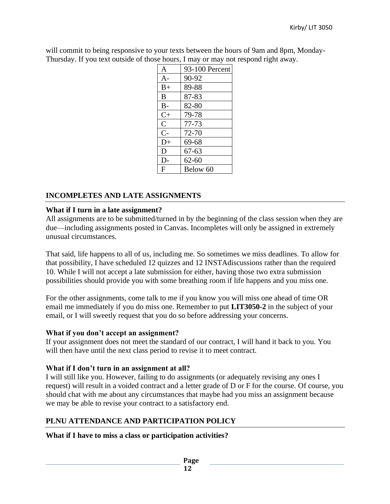will commit to being responsive to your texts between the hours of 9am and 8pm, Monday-Thursday. If you text outside of those hours, I may or may not respond right away.

| $\mathsf{A}$ | 93-100 Percent |
|--------------|----------------|
| $A-$         | 90-92          |
| $B+$         | 89-88          |
| B            | 87-83          |
| $B -$        | 82-80          |
| $C+$         | 79-78          |
| $\mathsf{C}$ | $77 - 73$      |
| $C-$         | 72-70          |
| $D+$         | 69-68          |
| D            | 67-63          |
| $D-$         | $62 - 60$      |
| F            | Below 60       |

# **INCOMPLETES AND LATE ASSIGNMENTS**

# **What if I turn in a late assignment?**

All assignments are to be submitted/turned in by the beginning of the class session when they are due—including assignments posted in Canvas. Incompletes will only be assigned in extremely unusual circumstances.

That said, life happens to all of us, including me. So sometimes we miss deadlines. To allow for that possibility, I have scheduled 12 quizzes and 12 INSTAdiscussions rather than the required 10. While I will not accept a late submission for either, having those two extra submission possibilities should provide you with some breathing room if life happens and you miss one.

For the other assignments, come talk to me if you know you will miss one ahead of time OR email me immediately if you do miss one. Remember to put **LIT3050-2** in the subject of your email, or I will sweetly request that you do so before addressing your concerns.

# **What if you don't accept an assignment?**

If your assignment does not meet the standard of our contract, I will hand it back to you. You will then have until the next class period to revise it to meet contract.

# **What if I don't turn in an assignment at all?**

I will still like you. However, failing to do assignments (or adequately revising any ones I request) will result in a voided contract and a letter grade of D or F for the course. Of course, you should chat with me about any circumstances that maybe had you miss an assignment because we may be able to revise your contract to a satisfactory end.

# **PLNU ATTENDANCE AND PARTICIPATION POLICY**

**What if I have to miss a class or participation activities?**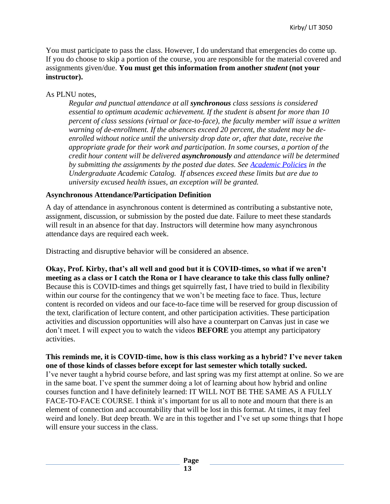You must participate to pass the class. However, I do understand that emergencies do come up. If you do choose to skip a portion of the course, you are responsible for the material covered and assignments given/due. **You must get this information from another** *student* **(not your instructor).** 

## As PLNU notes,

*Regular and punctual attendance at all synchronous class sessions is considered essential to optimum academic achievement. If the student is absent for more than 10 percent of class sessions (virtual or face-to-face), the faculty member will issue a written warning of de-enrollment. If the absences exceed 20 percent, the student may be deenrolled without notice until the university drop date or, after that date, receive the appropriate grade for their work and participation. In some courses, a portion of the credit hour content will be delivered asynchronously and attendance will be determined by submitting the assignments by the posted due dates. See [Academic Policies](https://catalog.pointloma.edu/content.php?catoid=46&navoid=2650#Class_Attendance) in the Undergraduate Academic Catalog. If absences exceed these limits but are due to university excused health issues, an exception will be granted.*

#### **Asynchronous Attendance/Participation Definition**

A day of attendance in asynchronous content is determined as contributing a substantive note, assignment, discussion, or submission by the posted due date. Failure to meet these standards will result in an absence for that day. Instructors will determine how many asynchronous attendance days are required each week.

Distracting and disruptive behavior will be considered an absence.

**Okay, Prof. Kirby, that's all well and good but it is COVID-times, so what if we aren't meeting as a class or I catch the Rona or I have clearance to take this class fully online?** Because this is COVID-times and things get squirrelly fast, I have tried to build in flexibility within our course for the contingency that we won't be meeting face to face. Thus, lecture content is recorded on videos and our face-to-face time will be reserved for group discussion of the text, clarification of lecture content, and other participation activities. These participation activities and discussion opportunities will also have a counterpart on Canvas just in case we don't meet. I will expect you to watch the videos **BEFORE** you attempt any participatory activities.

#### **This reminds me, it is COVID-time, how is this class working as a hybrid? I've never taken one of those kinds of classes before except for last semester which totally sucked.**

I've never taught a hybrid course before, and last spring was my first attempt at online. So we are in the same boat. I've spent the summer doing a lot of learning about how hybrid and online courses function and I have definitely learned: IT WILL NOT BE THE SAME AS A FULLY FACE-TO-FACE COURSE. I think it's important for us all to note and mourn that there is an element of connection and accountability that will be lost in this format. At times, it may feel weird and lonely. But deep breath. We are in this together and I've set up some things that I hope will ensure your success in the class.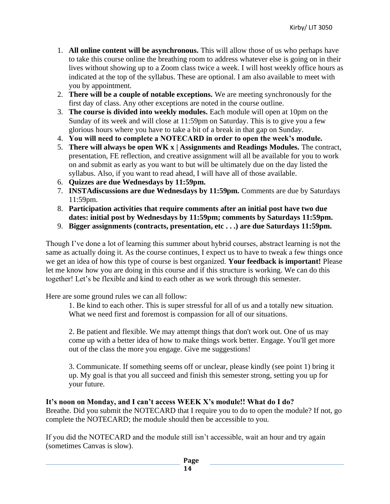- 1. **All online content will be asynchronous.** This will allow those of us who perhaps have to take this course online the breathing room to address whatever else is going on in their lives without showing up to a Zoom class twice a week. I will host weekly office hours as indicated at the top of the syllabus. These are optional. I am also available to meet with you by appointment.
- 2. **There will be a couple of notable exceptions.** We are meeting synchronously for the first day of class. Any other exceptions are noted in the course outline.
- 3. **The course is divided into weekly modules.** Each module will open at 10pm on the Sunday of its week and will close at 11:59pm on Saturday. This is to give you a few glorious hours where you have to take a bit of a break in that gap on Sunday.
- 4. **You will need to complete a NOTECARD in order to open the week's module.**
- 5. **There will always be open WK x | Assignments and Readings Modules.** The contract, presentation, FE reflection, and creative assignment will all be available for you to work on and submit as early as you want to but will be ultimately due on the day listed the syllabus. Also, if you want to read ahead, I will have all of those available.
- 6. **Quizzes are due Wednesdays by 11:59pm.**
- 7. **INSTAdiscussions are due Wednesdays by 11:59pm.** Comments are due by Saturdays 11:59pm.
- 8. **Participation activities that require comments after an initial post have two due dates: initial post by Wednesdays by 11:59pm; comments by Saturdays 11:59pm.**
- 9. **Bigger assignments (contracts, presentation, etc . . .) are due Saturdays 11:59pm.**

Though I've done a lot of learning this summer about hybrid courses, abstract learning is not the same as actually doing it. As the course continues, I expect us to have to tweak a few things once we get an idea of how this type of course is best organized. **Your feedback is important!** Please let me know how you are doing in this course and if this structure is working. We can do this together! Let's be flexible and kind to each other as we work through this semester.

Here are some ground rules we can all follow:

1. Be kind to each other. This is super stressful for all of us and a totally new situation. What we need first and foremost is compassion for all of our situations.

2. Be patient and flexible. We may attempt things that don't work out. One of us may come up with a better idea of how to make things work better. Engage. You'll get more out of the class the more you engage. Give me suggestions!

3. Communicate. If something seems off or unclear, please kindly (see point 1) bring it up. My goal is that you all succeed and finish this semester strong, setting you up for your future.

#### **It's noon on Monday, and I can't access WEEK X's module!! What do I do?**

Breathe. Did you submit the NOTECARD that I require you to do to open the module? If not, go complete the NOTECARD; the module should then be accessible to you.

If you did the NOTECARD and the module still isn't accessible, wait an hour and try again (sometimes Canvas is slow).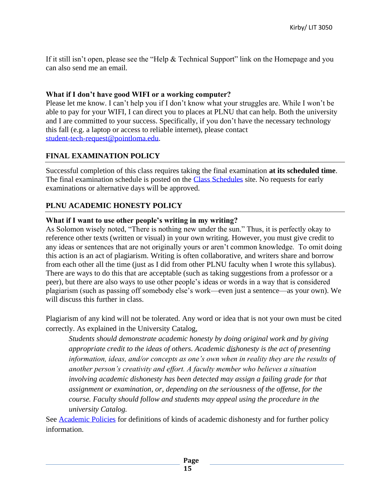If it still isn't open, please see the "Help & Technical Support" link on the Homepage and you can also send me an email.

# **What if I don't have good WIFI or a working computer?**

Please let me know. I can't help you if I don't know what your struggles are. While I won't be able to pay for your WIFI, I can direct you to places at PLNU that can help. Both the university and I are committed to your success. Specifically, if you don't have the necessary technology this fall (e.g. a laptop or access to reliable internet), please contact [student-tech-request@pointloma.edu.](mailto:student-tech-request@pointloma.edu)

# **FINAL EXAMINATION POLICY**

Successful completion of this class requires taking the final examination **at its scheduled time**. The final examination schedule is posted on the [Class Schedules](http://www.pointloma.edu/experience/academics/class-schedules) site. No requests for early examinations or alternative days will be approved.

# **PLNU ACADEMIC HONESTY POLICY**

# **What if I want to use other people's writing in my writing?**

As Solomon wisely noted, "There is nothing new under the sun." Thus, it is perfectly okay to reference other texts (written or visual) in your own writing. However, you must give credit to any ideas or sentences that are not originally yours or aren't common knowledge. To omit doing this action is an act of plagiarism. Writing is often collaborative, and writers share and borrow from each other all the time (just as I did from other PLNU faculty when I wrote this syllabus). There are ways to do this that are acceptable (such as taking suggestions from a professor or a peer), but there are also ways to use other people's ideas or words in a way that is considered plagiarism (such as passing off somebody else's work—even just a sentence—as your own). We will discuss this further in class.

Plagiarism of any kind will not be tolerated. Any word or idea that is not your own must be cited correctly. As explained in the University Catalog,

*Students should demonstrate academic honesty by doing original work and by giving appropriate credit to the ideas of others. Academic dishonesty is the act of presenting information, ideas, and/or concepts as one's own when in reality they are the results of another person's creativity and effort. A faculty member who believes a situation involving academic dishonesty has been detected may assign a failing grade for that assignment or examination, or, depending on the seriousness of the offense, for the course. Faculty should follow and students may appeal using the procedure in the university Catalog.*

See [Academic Policies](http://catalog.pointloma.edu/content.php?catoid=18&navoid=1278) for definitions of kinds of academic dishonesty and for further policy information.